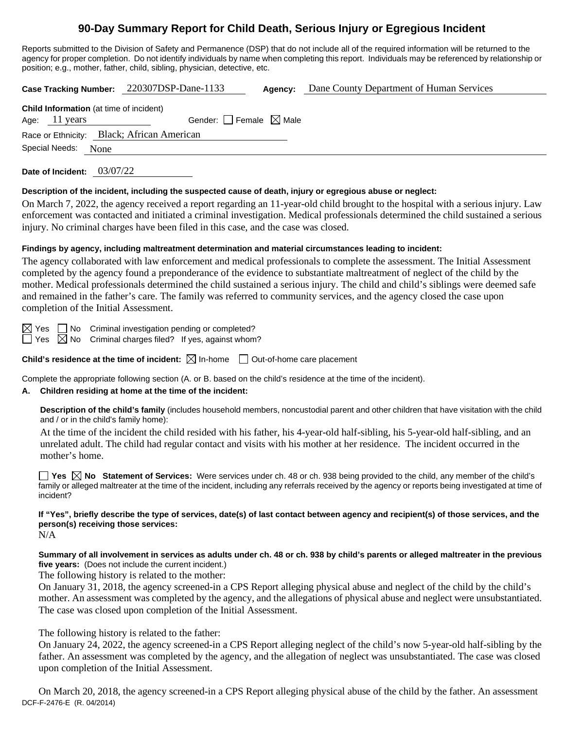# **90-Day Summary Report for Child Death, Serious Injury or Egregious Incident**

Reports submitted to the Division of Safety and Permanence (DSP) that do not include all of the required information will be returned to the agency for proper completion. Do not identify individuals by name when completing this report. Individuals may be referenced by relationship or position; e.g., mother, father, child, sibling, physician, detective, etc.

**Case Tracking Number:** 220307DSP-Dane-1133 **Agency:** Dane County Department of Human Services

| <b>Child Information</b> (at time of incident) |               |                                   |  |  |  |
|------------------------------------------------|---------------|-----------------------------------|--|--|--|
|                                                | Age: 11 years | Gender: $ $ Female $\bowtie$ Male |  |  |  |
| Race or Ethnicity: Black; African American     |               |                                   |  |  |  |
| Special Needs: None                            |               |                                   |  |  |  |

**Date of Incident:** 03/07/22

#### **Description of the incident, including the suspected cause of death, injury or egregious abuse or neglect:**

On March 7, 2022, the agency received a report regarding an 11-year-old child brought to the hospital with a serious injury. Law enforcement was contacted and initiated a criminal investigation. Medical professionals determined the child sustained a serious injury. No criminal charges have been filed in this case, and the case was closed.

#### **Findings by agency, including maltreatment determination and material circumstances leading to incident:**

The agency collaborated with law enforcement and medical professionals to complete the assessment. The Initial Assessment completed by the agency found a preponderance of the evidence to substantiate maltreatment of neglect of the child by the mother. Medical professionals determined the child sustained a serious injury. The child and child's siblings were deemed safe and remained in the father's care. The family was referred to community services, and the agency closed the case upon completion of the Initial Assessment.

 $\boxtimes$  Yes  $\Box$  No Criminal investigation pending or completed?

 $\Box$  Yes  $\boxtimes$  No Criminal charges filed? If yes, against whom?

**Child's residence at the time of incident:**  $\boxtimes$  In-home  $\Box$  Out-of-home care placement

Complete the appropriate following section (A. or B. based on the child's residence at the time of the incident).

#### **A. Children residing at home at the time of the incident:**

**Description of the child's family** (includes household members, noncustodial parent and other children that have visitation with the child and / or in the child's family home):

At the time of the incident the child resided with his father, his 4-year-old half-sibling, his 5-year-old half-sibling, and an unrelated adult. The child had regular contact and visits with his mother at her residence. The incident occurred in the mother's home.

**Yes**  $\boxtimes$  **No** Statement of Services: Were services under ch. 48 or ch. 938 being provided to the child, any member of the child's family or alleged maltreater at the time of the incident, including any referrals received by the agency or reports being investigated at time of incident?

## **If "Yes", briefly describe the type of services, date(s) of last contact between agency and recipient(s) of those services, and the person(s) receiving those services:**

N/A

**Summary of all involvement in services as adults under ch. 48 or ch. 938 by child's parents or alleged maltreater in the previous five years:** (Does not include the current incident.)

The following history is related to the mother:

On January 31, 2018, the agency screened-in a CPS Report alleging physical abuse and neglect of the child by the child's mother. An assessment was completed by the agency, and the allegations of physical abuse and neglect were unsubstantiated. The case was closed upon completion of the Initial Assessment.

The following history is related to the father:

On January 24, 2022, the agency screened-in a CPS Report alleging neglect of the child's now 5-year-old half-sibling by the father. An assessment was completed by the agency, and the allegation of neglect was unsubstantiated. The case was closed upon completion of the Initial Assessment.

DCF-F-2476-E (R. 04/2014) On March 20, 2018, the agency screened-in a CPS Report alleging physical abuse of the child by the father. An assessment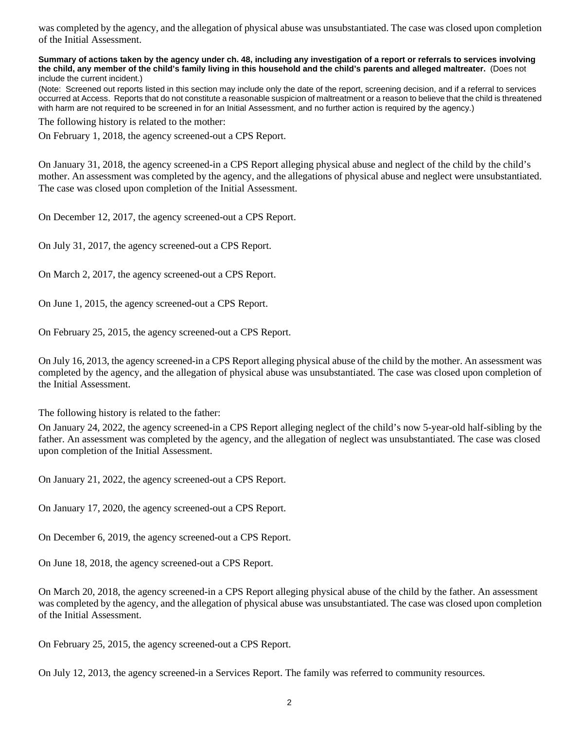was completed by the agency, and the allegation of physical abuse was unsubstantiated. The case was closed upon completion of the Initial Assessment.

#### **Summary of actions taken by the agency under ch. 48, including any investigation of a report or referrals to services involving the child, any member of the child's family living in this household and the child's parents and alleged maltreater.** (Does not include the current incident.)

(Note: Screened out reports listed in this section may include only the date of the report, screening decision, and if a referral to services occurred at Access. Reports that do not constitute a reasonable suspicion of maltreatment or a reason to believe that the child is threatened with harm are not required to be screened in for an Initial Assessment, and no further action is required by the agency.)

The following history is related to the mother:

On February 1, 2018, the agency screened-out a CPS Report.

On January 31, 2018, the agency screened-in a CPS Report alleging physical abuse and neglect of the child by the child's mother. An assessment was completed by the agency, and the allegations of physical abuse and neglect were unsubstantiated. The case was closed upon completion of the Initial Assessment.

On December 12, 2017, the agency screened-out a CPS Report.

On July 31, 2017, the agency screened-out a CPS Report.

On March 2, 2017, the agency screened-out a CPS Report.

On June 1, 2015, the agency screened-out a CPS Report.

On February 25, 2015, the agency screened-out a CPS Report.

On July 16, 2013, the agency screened-in a CPS Report alleging physical abuse of the child by the mother. An assessment was completed by the agency, and the allegation of physical abuse was unsubstantiated. The case was closed upon completion of the Initial Assessment.

The following history is related to the father:

On January 24, 2022, the agency screened-in a CPS Report alleging neglect of the child's now 5-year-old half-sibling by the father. An assessment was completed by the agency, and the allegation of neglect was unsubstantiated. The case was closed upon completion of the Initial Assessment.

On January 21, 2022, the agency screened-out a CPS Report.

On January 17, 2020, the agency screened-out a CPS Report.

On December 6, 2019, the agency screened-out a CPS Report.

On June 18, 2018, the agency screened-out a CPS Report.

On March 20, 2018, the agency screened-in a CPS Report alleging physical abuse of the child by the father. An assessment was completed by the agency, and the allegation of physical abuse was unsubstantiated. The case was closed upon completion of the Initial Assessment.

On February 25, 2015, the agency screened-out a CPS Report.

On July 12, 2013, the agency screened-in a Services Report. The family was referred to community resources.